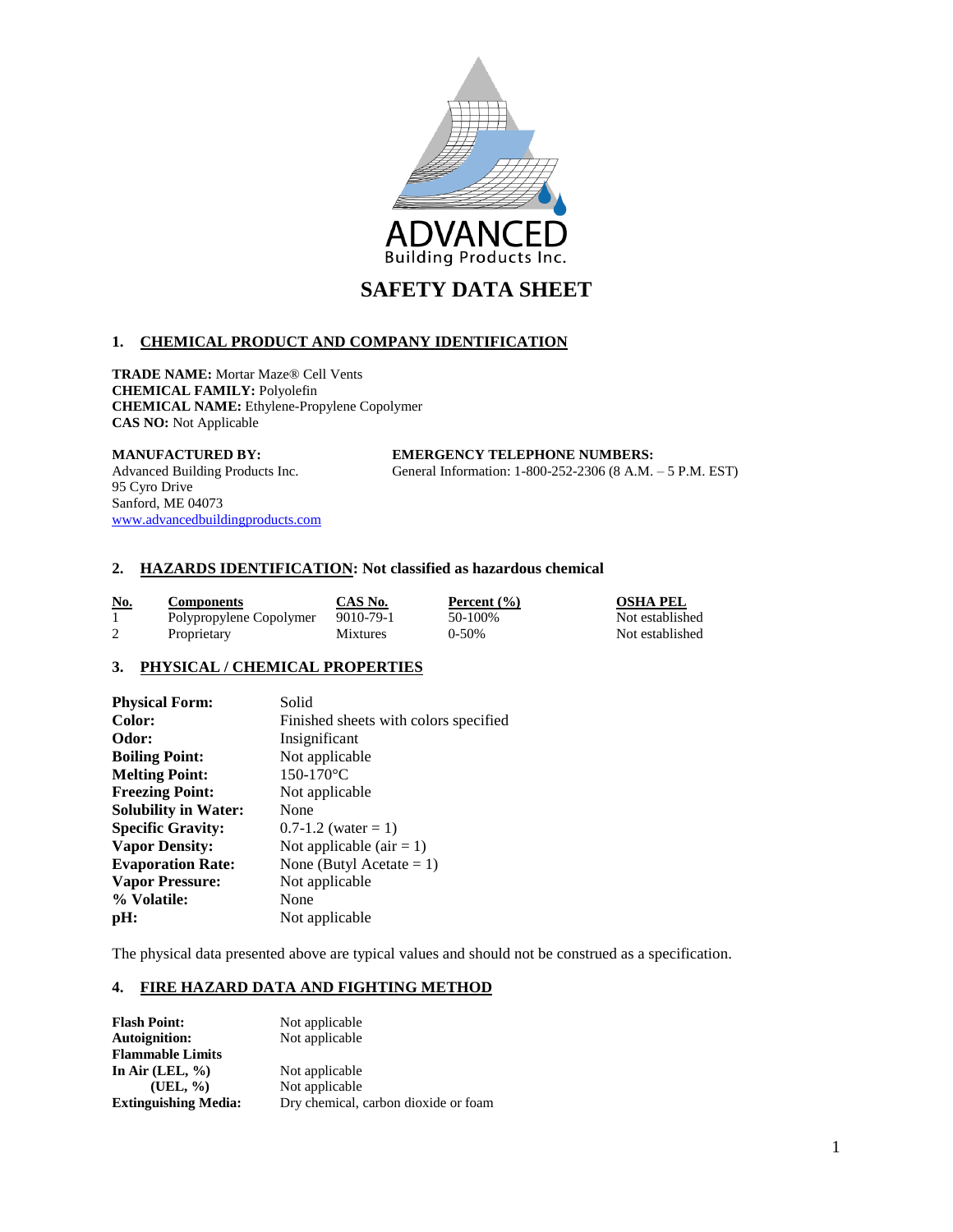

# **1. CHEMICAL PRODUCT AND COMPANY IDENTIFICATION**

**TRADE NAME:** Mortar Maze® Cell Vents **CHEMICAL FAMILY:** Polyolefin **CHEMICAL NAME:** Ethylene-Propylene Copolymer **CAS NO:** Not Applicable

#### **MANUFACTURED BY: EMERGENCY TELEPHONE NUMBERS:**

Advanced Building Products Inc. General Information: 1-800-252-2306 (8 A.M. – 5 P.M. EST)

95 Cyro Drive Sanford, ME 04073 [www.advancedbuildingproducts.com](http://www.advancedbuildingproducts.com/)

## **2. HAZARDS IDENTIFICATION: Not classified as hazardous chemical**

| <u>No.</u> | <b>Components</b>       | CAS No.         | Percent $(\% )$ | <b>OSHA PEL</b> |
|------------|-------------------------|-----------------|-----------------|-----------------|
|            | Polypropylene Copolymer | 9010-79-1       | 50-100%         | Not established |
|            | Proprietary             | <b>Mixtures</b> | $0-50%$         | Not established |

# **3. PHYSICAL / CHEMICAL PROPERTIES**

| <b>Physical Form:</b>       | Solid                                 |
|-----------------------------|---------------------------------------|
| Color:                      | Finished sheets with colors specified |
| Odor:                       | Insignificant                         |
| <b>Boiling Point:</b>       | Not applicable                        |
| <b>Melting Point:</b>       | $150-170$ °C                          |
| <b>Freezing Point:</b>      | Not applicable                        |
| <b>Solubility in Water:</b> | None                                  |
| <b>Specific Gravity:</b>    | $0.7-1.2$ (water = 1)                 |
| <b>Vapor Density:</b>       | Not applicable (air $= 1$ )           |
| <b>Evaporation Rate:</b>    | None (Butyl Acetate = $1$ )           |
| <b>Vapor Pressure:</b>      | Not applicable                        |
| % Volatile:                 | None                                  |
| pH:                         | Not applicable                        |

The physical data presented above are typical values and should not be construed as a specification.

## **4. FIRE HAZARD DATA AND FIGHTING METHOD**

| <b>Flash Point:</b>         | Not applicable                       |
|-----------------------------|--------------------------------------|
| <b>Autoignition:</b>        | Not applicable                       |
| <b>Flammable Limits</b>     |                                      |
| In Air (LEL, $\%$ )         | Not applicable                       |
| (UEL, %)                    | Not applicable                       |
| <b>Extinguishing Media:</b> | Dry chemical, carbon dioxide or foam |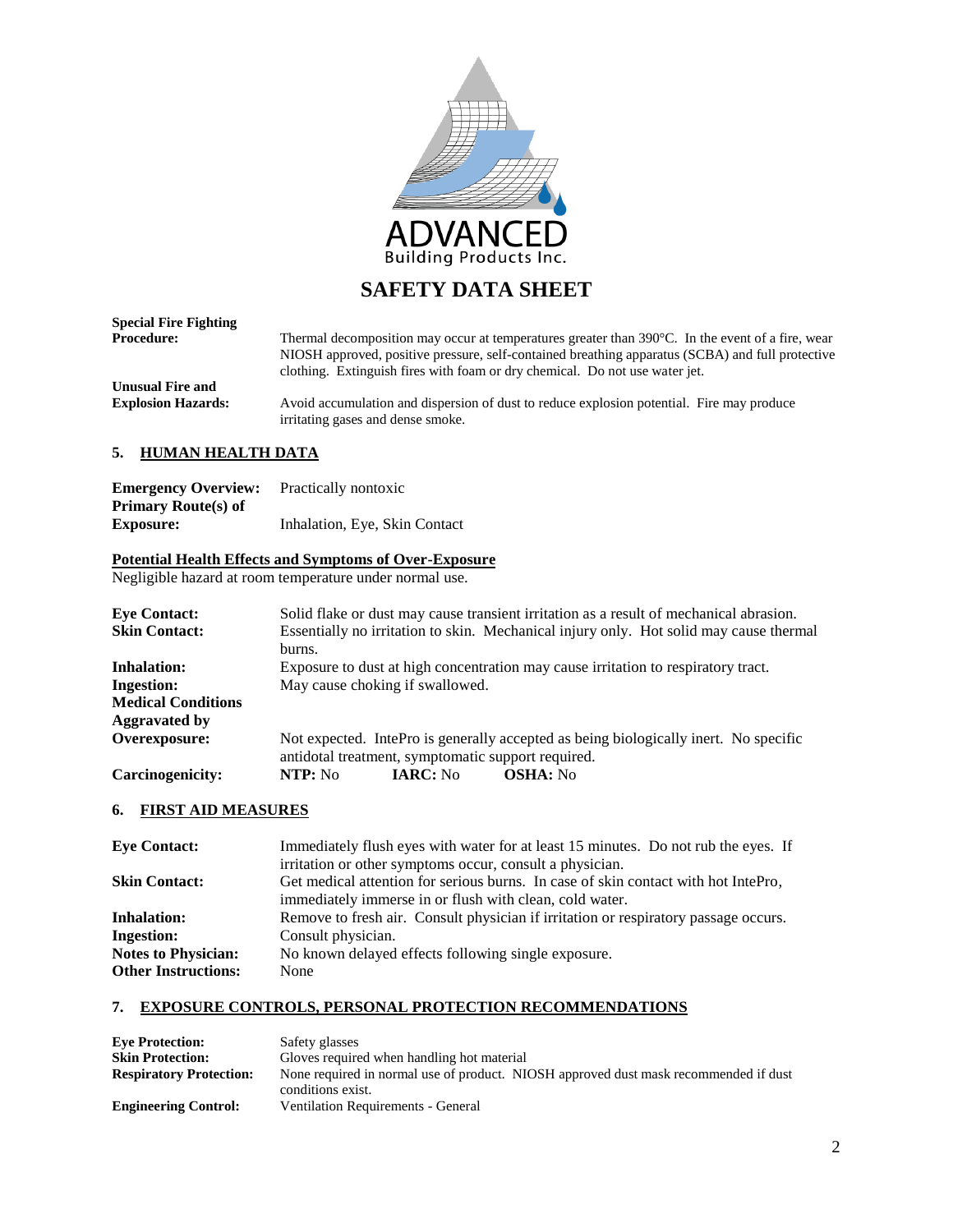

| <b>Special Fire Fighting</b> |                                                                                                                                                                                                                                                                                               |
|------------------------------|-----------------------------------------------------------------------------------------------------------------------------------------------------------------------------------------------------------------------------------------------------------------------------------------------|
| <b>Procedure:</b>            | Thermal decomposition may occur at temperatures greater than $390^{\circ}$ C. In the event of a fire, wear<br>NIOSH approved, positive pressure, self-contained breathing apparatus (SCBA) and full protective<br>clothing. Extinguish fires with foam or dry chemical. Do not use water jet. |
| <b>Unusual Fire and</b>      |                                                                                                                                                                                                                                                                                               |
| <b>Explosion Hazards:</b>    | Avoid accumulation and dispersion of dust to reduce explosion potential. Fire may produce<br>irritating gases and dense smoke.                                                                                                                                                                |

## **5. HUMAN HEALTH DATA**

| <b>Emergency Overview:</b> | Practically nontoxic          |
|----------------------------|-------------------------------|
| <b>Primary Route(s) of</b> |                               |
| <b>Exposure:</b>           | Inhalation, Eye, Skin Contact |

# **Potential Health Effects and Symptoms of Over-Exposure**

Negligible hazard at room temperature under normal use.

| <b>Eve Contact:</b>       | Solid flake or dust may cause transient irritation as a result of mechanical abrasion.                                                     |  |  |
|---------------------------|--------------------------------------------------------------------------------------------------------------------------------------------|--|--|
| <b>Skin Contact:</b>      | Essentially no irritation to skin. Mechanical injury only. Hot solid may cause thermal                                                     |  |  |
|                           | burns.                                                                                                                                     |  |  |
| <b>Inhalation:</b>        | Exposure to dust at high concentration may cause irritation to respiratory tract.                                                          |  |  |
| <b>Ingestion:</b>         | May cause choking if swallowed.                                                                                                            |  |  |
| <b>Medical Conditions</b> |                                                                                                                                            |  |  |
| Aggravated by             |                                                                                                                                            |  |  |
| Overexposure:             | Not expected. IntePro is generally accepted as being biologically inert. No specific<br>antidotal treatment, symptomatic support required. |  |  |
| Carcinogenicity:          | <b>IARC:</b> No<br><b>OSHA:</b> No<br>NTP: No                                                                                              |  |  |

# **6. FIRST AID MEASURES**

| <b>Eve Contact:</b>                                                                                       | Immediately flush eyes with water for at least 15 minutes. Do not rub the eyes. If |  |
|-----------------------------------------------------------------------------------------------------------|------------------------------------------------------------------------------------|--|
|                                                                                                           | irritation or other symptoms occur, consult a physician.                           |  |
| <b>Skin Contact:</b>                                                                                      | Get medical attention for serious burns. In case of skin contact with hot IntePro, |  |
|                                                                                                           | immediately immerse in or flush with clean, cold water.                            |  |
| Remove to fresh air. Consult physician if irritation or respiratory passage occurs.<br><b>Inhalation:</b> |                                                                                    |  |
| <b>Ingestion:</b>                                                                                         | Consult physician.                                                                 |  |
| <b>Notes to Physician:</b>                                                                                | No known delayed effects following single exposure.                                |  |
| <b>Other Instructions:</b>                                                                                | None                                                                               |  |

# **7. EXPOSURE CONTROLS, PERSONAL PROTECTION RECOMMENDATIONS**

| <b>Eve Protection:</b>         | Safety glasses                                                                       |  |  |
|--------------------------------|--------------------------------------------------------------------------------------|--|--|
| <b>Skin Protection:</b>        | Gloves required when handling hot material                                           |  |  |
| <b>Respiratory Protection:</b> | None required in normal use of product. NIOSH approved dust mask recommended if dust |  |  |
|                                | conditions exist.                                                                    |  |  |
| <b>Engineering Control:</b>    | Ventilation Requirements - General                                                   |  |  |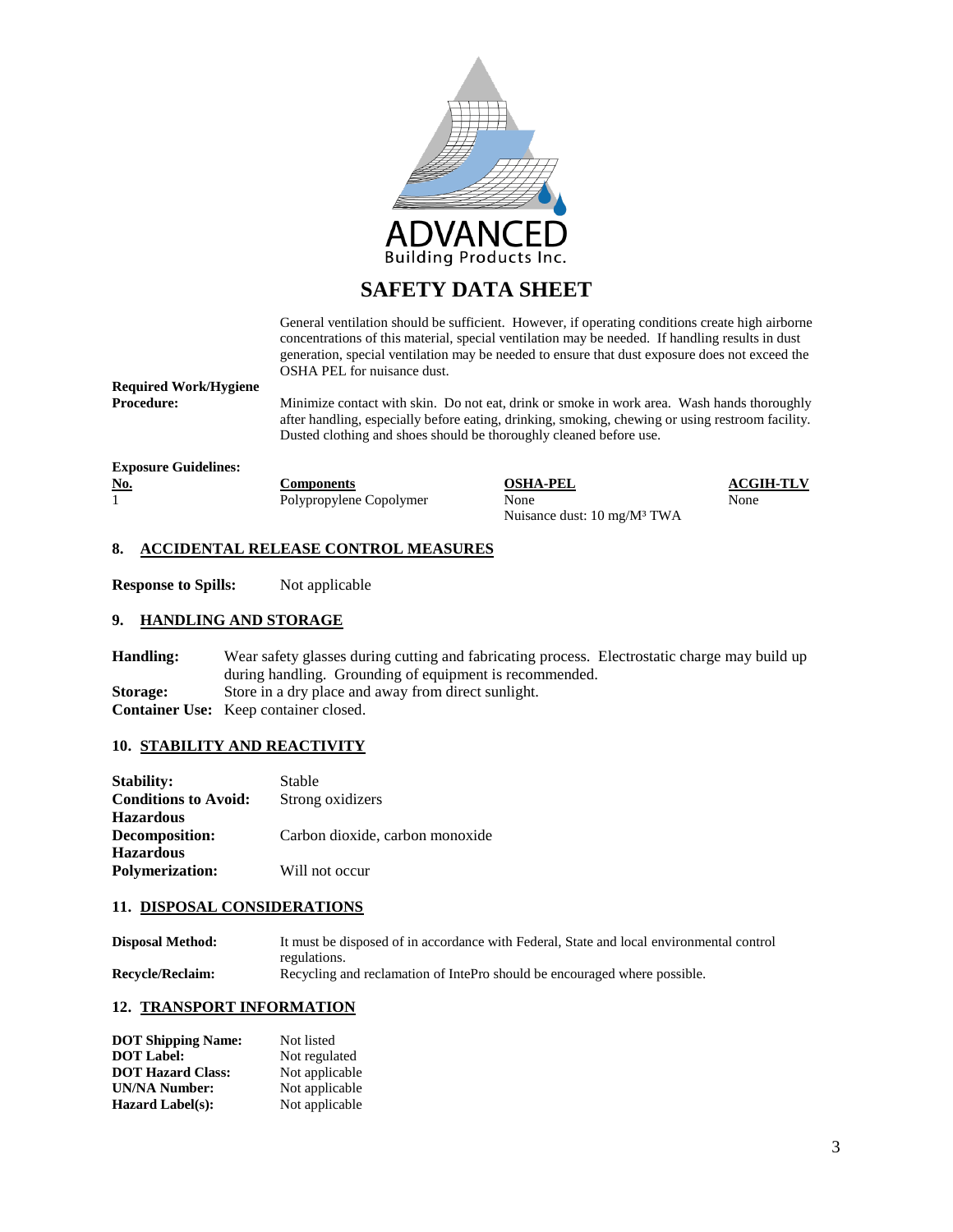

General ventilation should be sufficient. However, if operating conditions create high airborne concentrations of this material, special ventilation may be needed. If handling results in dust generation, special ventilation may be needed to ensure that dust exposure does not exceed the OSHA PEL for nuisance dust.

**Required Work/Hygiene**

Minimize contact with skin. Do not eat, drink or smoke in work area. Wash hands thoroughly after handling, especially before eating, drinking, smoking, chewing or using restroom facility. Dusted clothing and shoes should be thoroughly cleaned before use.

**Exposure Guidelines:**

**No. Components Components OSHA-PEL ACGIH-TLV ACGIH-TLV Polypropylene** Conolymer **None None None** 

Polypropylene Copolymer None None Nuisance dust: 10 mg/M³ TWA

# **8. ACCIDENTAL RELEASE CONTROL MEASURES**

**Response to Spills:** Not applicable

#### **9. HANDLING AND STORAGE**

| Handling:       | Wear safety glasses during cutting and fabricating process. Electrostatic charge may build up |
|-----------------|-----------------------------------------------------------------------------------------------|
|                 | during handling. Grounding of equipment is recommended.                                       |
| <b>Storage:</b> | Store in a dry place and away from direct sunlight.                                           |
|                 | <b>Container Use:</b> Keep container closed.                                                  |

#### **10. STABILITY AND REACTIVITY**

| <b>Stability:</b>           | Stable                          |
|-----------------------------|---------------------------------|
| <b>Conditions to Avoid:</b> | Strong oxidizers                |
| <b>Hazardous</b>            |                                 |
| Decomposition:              | Carbon dioxide, carbon monoxide |
| <b>Hazardous</b>            |                                 |
| <b>Polymerization:</b>      | Will not occur                  |
|                             |                                 |

#### **11. DISPOSAL CONSIDERATIONS**

| <b>Disposal Method:</b> | It must be disposed of in accordance with Federal, State and local environmental control |
|-------------------------|------------------------------------------------------------------------------------------|
|                         | regulations.                                                                             |
| <b>Recycle/Reclaim:</b> | Recycling and reclamation of IntePro should be encouraged where possible.                |

#### **12. TRANSPORT INFORMATION**

| <b>DOT Shipping Name:</b> | Not listed     |
|---------------------------|----------------|
| <b>DOT</b> Label:         | Not regulated  |
| <b>DOT Hazard Class:</b>  | Not applicable |
| <b>UN/NA Number:</b>      | Not applicable |
| <b>Hazard Label(s):</b>   | Not applicable |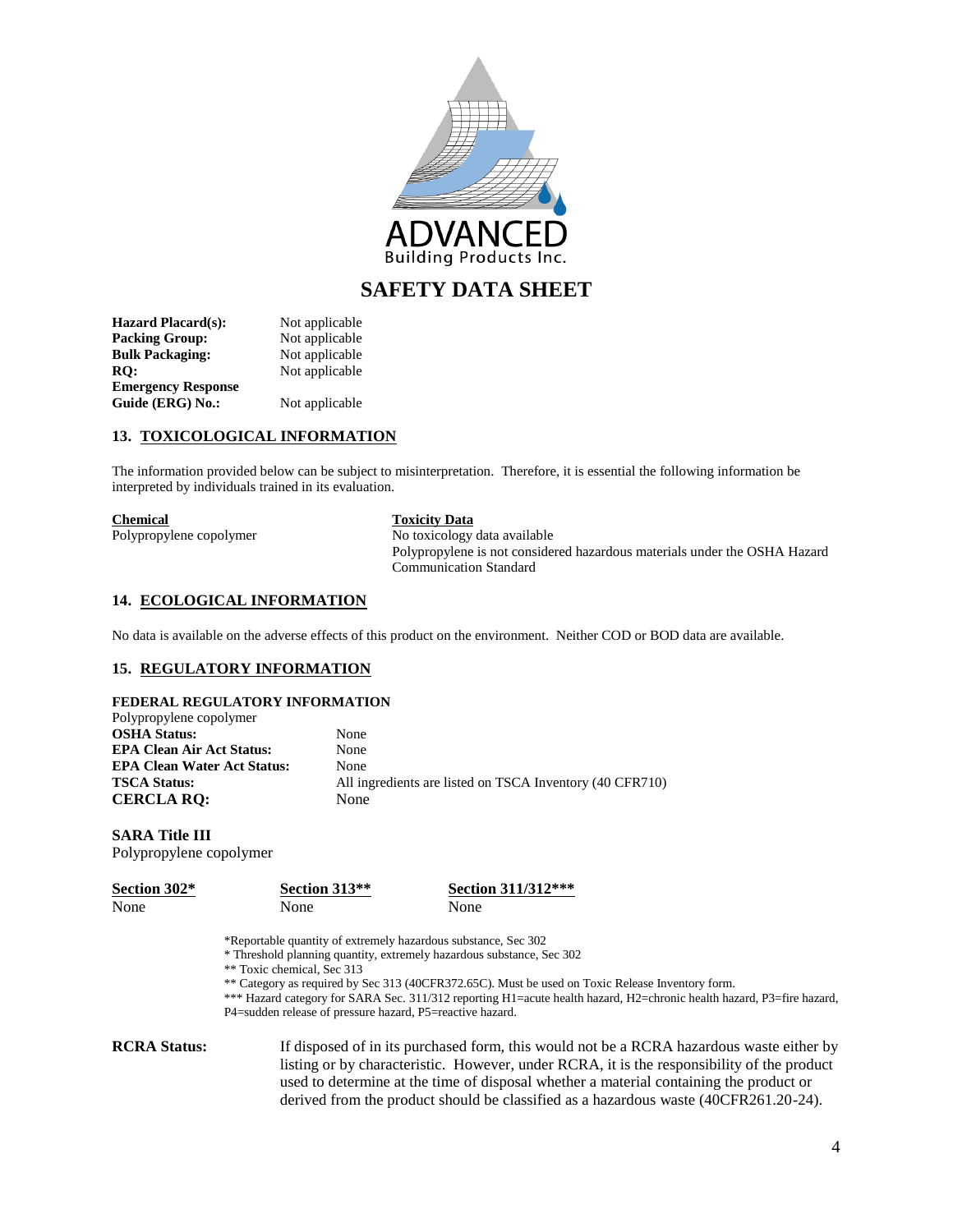

| <b>Hazard Placard(s):</b> | Not applicable |
|---------------------------|----------------|
| <b>Packing Group:</b>     | Not applicable |
| <b>Bulk Packaging:</b>    | Not applicable |
| RO:                       | Not applicable |
| <b>Emergency Response</b> |                |
| Guide (ERG) No.:          | Not applicable |

## **13. TOXICOLOGICAL INFORMATION**

The information provided below can be subject to misinterpretation. Therefore, it is essential the following information be interpreted by individuals trained in its evaluation.

| <b>Chemical</b> |  |
|-----------------|--|
|                 |  |

# **Toxicity Data** Polypropylene copolymer No toxicology data available

Polypropylene is not considered hazardous materials under the OSHA Hazard Communication Standard

### **14. ECOLOGICAL INFORMATION**

No data is available on the adverse effects of this product on the environment. Neither COD or BOD data are available.

#### **15. REGULATORY INFORMATION**

| None                                                     |
|----------------------------------------------------------|
| None                                                     |
| None                                                     |
| All ingredients are listed on TSCA Inventory (40 CFR710) |
| None                                                     |
|                                                          |

# **SARA Title III**

Polypropylene copolymer

| <b>Section 302*</b> | Section 313 <sup>**</sup> | Section 311/312*** |
|---------------------|---------------------------|--------------------|
| None                | None                      | None               |

\*Reportable quantity of extremely hazardous substance, Sec 302

\* Threshold planning quantity, extremely hazardous substance, Sec 302

\*\* Toxic chemical, Sec 313

\*\* Category as required by Sec 313 (40CFR372.65C). Must be used on Toxic Release Inventory form.

\*\*\* Hazard category for SARA Sec. 311/312 reporting H1=acute health hazard, H2=chronic health hazard, P3=fire hazard, P4=sudden release of pressure hazard, P5=reactive hazard.

**RCRA Status:** If disposed of in its purchased form, this would not be a RCRA hazardous waste either by listing or by characteristic. However, under RCRA, it is the responsibility of the product used to determine at the time of disposal whether a material containing the product or derived from the product should be classified as a hazardous waste (40CFR261.20-24).